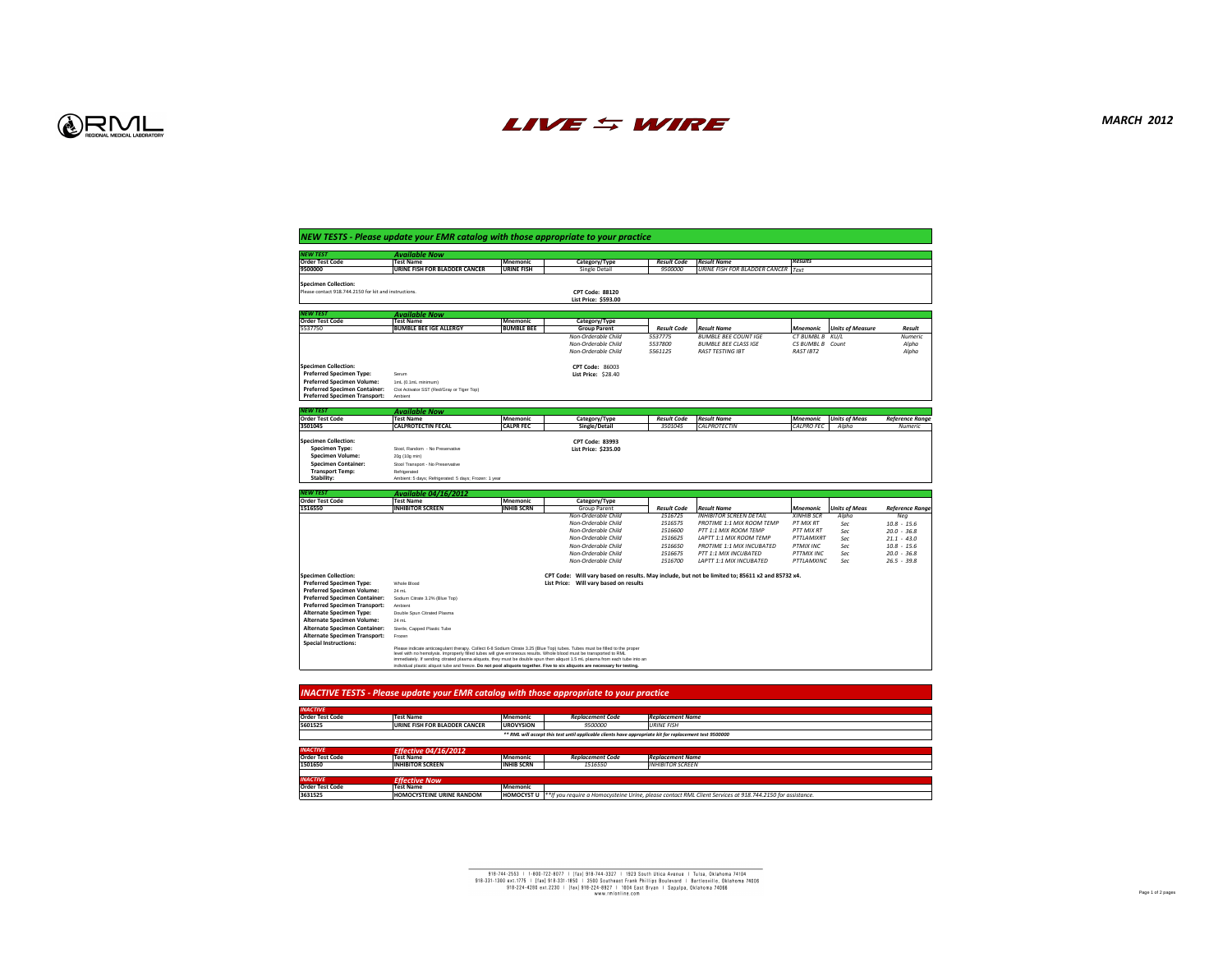# *MARCH 2012*

| <b>Results</b>    |                         |                        |
|-------------------|-------------------------|------------------------|
| <b>Text</b>       |                         |                        |
|                   |                         |                        |
|                   |                         |                        |
|                   |                         |                        |
|                   |                         |                        |
|                   |                         |                        |
|                   |                         |                        |
| <b>Mnemonic</b>   | <b>Units of Measure</b> | <b>Result</b>          |
| <b>CT BUMBL B</b> | KU/L                    | <b>Numeric</b>         |
| <b>CS BUMBL B</b> | Count                   | Alpha                  |
| <b>RAST IBT2</b>  |                         | Alpha                  |
|                   |                         |                        |
|                   |                         |                        |
|                   |                         |                        |
|                   |                         |                        |
|                   |                         |                        |
|                   |                         |                        |
|                   |                         |                        |
|                   |                         |                        |
| <b>Mnemonic</b>   | <b>Units of Meas</b>    | <b>Reference Range</b> |
| <b>CALPRO FEC</b> | Alpha                   | <b>Numeric</b>         |
|                   |                         |                        |
|                   |                         |                        |
|                   |                         |                        |
|                   |                         |                        |
|                   |                         |                        |
|                   |                         |                        |
|                   |                         |                        |
|                   |                         |                        |
|                   |                         |                        |
| <b>Mnemonic</b>   | <b>Units of Meas</b>    | <b>Reference Range</b> |
|                   |                         |                        |
| <b>XINHIB SCR</b> | Alpha                   | Neg                    |
| <b>PT MIX RT</b>  | Sec                     | $10.8 - 15.6$          |
| <b>PTT MIX RT</b> | Sec                     | $20.0 - 36.8$          |
| PTTLAMIXRT        | Sec                     | $21.1 - 43.0$          |
| <b>PTMIX INC</b>  | Sec                     | $10.8 - 15.6$          |
| <b>PTTMIX INC</b> | Sec                     | $20.0 - 36.8$          |
| <b>PTTLAMXINC</b> | Sec                     | $26.5 - 39.8$          |
|                   |                         |                        |
| x4.               |                         |                        |
|                   |                         |                        |
|                   |                         |                        |
|                   |                         |                        |
|                   |                         |                        |
|                   |                         |                        |
|                   |                         |                        |
|                   |                         |                        |
|                   |                         |                        |
|                   |                         |                        |
|                   |                         |                        |
|                   |                         |                        |
|                   |                         |                        |
|                   |                         |                        |
|                   |                         |                        |
|                   |                         |                        |
|                   |                         |                        |
|                   |                         |                        |
|                   |                         |                        |
|                   |                         |                        |
|                   |                         |                        |
|                   |                         |                        |
|                   |                         |                        |
|                   |                         |                        |
|                   |                         |                        |
|                   |                         |                        |



| <b>NEW TEST</b>                                                              | <b>Available Now</b>                                                                                                                                                                                                                                 |                                      |                                            |                               |                                                                                                  |                                       |                         |                                |
|------------------------------------------------------------------------------|------------------------------------------------------------------------------------------------------------------------------------------------------------------------------------------------------------------------------------------------------|--------------------------------------|--------------------------------------------|-------------------------------|--------------------------------------------------------------------------------------------------|---------------------------------------|-------------------------|--------------------------------|
| <b>Order Test Code</b><br>9500000                                            | <b>Test Name</b><br><b>URINE FISH FOR BLADDER CANCER</b>                                                                                                                                                                                             | <b>Mnemonic</b><br><b>URINE FISH</b> | Category/Type<br><b>Single Detail</b>      | <b>Result Code</b><br>9500000 | <b>Result Name</b><br><b>URINE FISH FOR BLADDER CANCER Text</b>                                  | <b>Results</b>                        |                         |                                |
|                                                                              |                                                                                                                                                                                                                                                      |                                      |                                            |                               |                                                                                                  |                                       |                         |                                |
| <b>Specimen Collection:</b>                                                  |                                                                                                                                                                                                                                                      |                                      |                                            |                               |                                                                                                  |                                       |                         |                                |
| Please contact 918.744.2150 for kit and instructions.                        |                                                                                                                                                                                                                                                      |                                      | <b>CPT Code: 88120</b>                     |                               |                                                                                                  |                                       |                         |                                |
|                                                                              |                                                                                                                                                                                                                                                      |                                      | List Price: \$593.00                       |                               |                                                                                                  |                                       |                         |                                |
| <b>NEW TEST</b>                                                              | <b>Available Now</b>                                                                                                                                                                                                                                 |                                      |                                            |                               |                                                                                                  |                                       |                         |                                |
| <b>Order Test Code</b>                                                       | <b>Test Name</b>                                                                                                                                                                                                                                     | <b>Mnemonic</b>                      | Category/Type                              |                               |                                                                                                  |                                       |                         |                                |
| 5537750                                                                      | <b>BUMBLE BEE IGE ALLERGY</b>                                                                                                                                                                                                                        | <b>BUMBLE BEE</b>                    | <b>Group Parent</b>                        | <b>Result Code</b>            | <b>Result Name</b>                                                                               | <i>Mnemonic</i>                       | <b>Units of Measure</b> | <b>Result</b>                  |
|                                                                              |                                                                                                                                                                                                                                                      |                                      | Non-Orderable Child<br>Non-Orderable Child | 5537775<br>5537800            | <b>BUMBLE BEE COUNT IGE</b><br><b>BUMBLE BEE CLASS IGE</b>                                       | CT BUMBL B KU/L<br>CS BUMBL B Count   |                         | <b>Numeric</b>                 |
|                                                                              |                                                                                                                                                                                                                                                      |                                      | Non-Orderable Child                        | 5561125                       | <b>RAST TESTING IBT</b>                                                                          | <b>RAST IBT2</b>                      |                         | Alpha<br>Alpha                 |
|                                                                              |                                                                                                                                                                                                                                                      |                                      |                                            |                               |                                                                                                  |                                       |                         |                                |
| <b>Specimen Collection:</b>                                                  |                                                                                                                                                                                                                                                      |                                      | <b>CPT Code: 86003</b>                     |                               |                                                                                                  |                                       |                         |                                |
| <b>Preferred Specimen Type:</b>                                              | Serum                                                                                                                                                                                                                                                |                                      | <b>List Price: \$28.40</b>                 |                               |                                                                                                  |                                       |                         |                                |
| <b>Preferred Specimen Volume:</b>                                            | 1mL (0.1mL minimum)                                                                                                                                                                                                                                  |                                      |                                            |                               |                                                                                                  |                                       |                         |                                |
| <b>Preferred Specimen Container:</b><br><b>Preferred Specimen Transport:</b> | Clot Activator SST (Red/Gray or Tiger Top)<br>Ambient                                                                                                                                                                                                |                                      |                                            |                               |                                                                                                  |                                       |                         |                                |
|                                                                              |                                                                                                                                                                                                                                                      |                                      |                                            |                               |                                                                                                  |                                       |                         |                                |
| <b>NEW TEST</b>                                                              | <b>Available Now</b>                                                                                                                                                                                                                                 |                                      |                                            |                               |                                                                                                  |                                       |                         |                                |
| <b>Order Test Code</b>                                                       | <b>Test Name</b>                                                                                                                                                                                                                                     | <b>Mnemonic</b>                      | Category/Type                              | <b>Result Code</b>            | <b>Result Name</b>                                                                               | <b>Mnemonic</b>                       | <b>Units of Meas</b>    | <b>Reference Range</b>         |
| 3501045                                                                      | <b>CALPROTECTIN FECAL</b>                                                                                                                                                                                                                            | <b>CALPR FEC</b>                     | Single/Detail                              | 3501045                       | <b>CALPROTECTIN</b>                                                                              | <b>CALPRO FEC</b>                     | Alpha                   | <b>Numeric</b>                 |
| <b>Specimen Collection:</b>                                                  |                                                                                                                                                                                                                                                      |                                      | <b>CPT Code: 83993</b>                     |                               |                                                                                                  |                                       |                         |                                |
| <b>Specimen Type:</b>                                                        | Stool, Random - No Preservative                                                                                                                                                                                                                      |                                      | List Price: \$235.00                       |                               |                                                                                                  |                                       |                         |                                |
| <b>Specimen Volume:</b>                                                      | 20g (10g min)                                                                                                                                                                                                                                        |                                      |                                            |                               |                                                                                                  |                                       |                         |                                |
| <b>Specimen Container:</b>                                                   | Stool Transport - No Preservative                                                                                                                                                                                                                    |                                      |                                            |                               |                                                                                                  |                                       |                         |                                |
| <b>Transport Temp:</b>                                                       | Refrigerated                                                                                                                                                                                                                                         |                                      |                                            |                               |                                                                                                  |                                       |                         |                                |
| <b>Stability:</b>                                                            | Ambient: 5 days; Refrigerated: 5 days; Frozen: 1 year                                                                                                                                                                                                |                                      |                                            |                               |                                                                                                  |                                       |                         |                                |
| <b>NEW TEST</b>                                                              | <b>Available 04/16/2012</b>                                                                                                                                                                                                                          |                                      |                                            |                               |                                                                                                  |                                       |                         |                                |
| <b>Order Test Code</b>                                                       | <b>Test Name</b>                                                                                                                                                                                                                                     | <b>Mnemonic</b>                      | Category/Type                              |                               |                                                                                                  |                                       |                         |                                |
| 1516550                                                                      | <b>INHIBITOR SCREEN</b>                                                                                                                                                                                                                              | <b>INHIB SCRN</b>                    | Group Parent                               | <b>Result Code</b>            | <b>Result Name</b>                                                                               | <b>Mnemonic</b>                       | <b>Units of Meas</b>    | <b>Reference Range</b>         |
|                                                                              |                                                                                                                                                                                                                                                      |                                      | Non-Orderable Child<br>Non-Orderable Child | 1516725<br>1516575            | <b>INHIBITOR SCREEN DETAIL</b><br><b>PROTIME 1:1 MIX ROOM TEMP</b>                               | <b>XINHIB SCR</b><br><b>PT MIX RT</b> | Alpha                   | Neg<br>$10.8 - 15.6$           |
|                                                                              |                                                                                                                                                                                                                                                      |                                      |                                            |                               |                                                                                                  | <b>PTT MIX RT</b>                     | Sec<br>Sec              | $20.0 - 36.8$                  |
|                                                                              |                                                                                                                                                                                                                                                      |                                      |                                            |                               |                                                                                                  |                                       |                         |                                |
|                                                                              |                                                                                                                                                                                                                                                      |                                      | Non-Orderable Child<br>Non-Orderable Child | 1516600                       | PTT 1:1 MIX ROOM TEMP                                                                            |                                       |                         |                                |
|                                                                              |                                                                                                                                                                                                                                                      |                                      | Non-Orderable Child                        | 1516625<br>1516650            | LAPTT 1:1 MIX ROOM TEMP<br><b>PROTIME 1:1 MIX INCUBATED</b>                                      | PTTLAMIXRT<br><b>PTMIX INC</b>        | Sec<br>Sec              | $21.1 - 43.0$<br>$10.8 - 15.6$ |
|                                                                              |                                                                                                                                                                                                                                                      |                                      | Non-Orderable Child                        | 1516675                       | <b>PTT 1:1 MIX INCUBATED</b>                                                                     | <b>PTTMIX INC</b>                     | Sec                     | $20.0 - 36.8$                  |
|                                                                              |                                                                                                                                                                                                                                                      |                                      | Non-Orderable Child                        | 1516700                       | LAPTT 1:1 MIX INCUBATED                                                                          | PTTLAMXINC                            | Sec                     | $26.5 - 39.8$                  |
|                                                                              |                                                                                                                                                                                                                                                      |                                      |                                            |                               |                                                                                                  |                                       |                         |                                |
| <b>Specimen Collection:</b>                                                  |                                                                                                                                                                                                                                                      |                                      |                                            |                               | CPT Code: Will vary based on results. May include, but not be limited to; 85611 x2 and 85732 x4. |                                       |                         |                                |
| <b>Preferred Specimen Type:</b>                                              | Whole Blood<br>24 mL                                                                                                                                                                                                                                 |                                      | List Price: Will vary based on results     |                               |                                                                                                  |                                       |                         |                                |
| <b>Preferred Specimen Volume:</b><br><b>Preferred Specimen Container:</b>    | Sodium Citrate 3.2% (Blue Top)                                                                                                                                                                                                                       |                                      |                                            |                               |                                                                                                  |                                       |                         |                                |
| <b>Preferred Specimen Transport:</b>                                         | Ambient                                                                                                                                                                                                                                              |                                      |                                            |                               |                                                                                                  |                                       |                         |                                |
| <b>Alternate Specimen Type:</b>                                              | Double Spun Citrated Plasma                                                                                                                                                                                                                          |                                      |                                            |                               |                                                                                                  |                                       |                         |                                |
| <b>Alternate Specimen Volume:</b>                                            | 24 mL                                                                                                                                                                                                                                                |                                      |                                            |                               |                                                                                                  |                                       |                         |                                |
| <b>Alternate Specimen Container:</b>                                         | Sterile, Capped Plastic Tube                                                                                                                                                                                                                         |                                      |                                            |                               |                                                                                                  |                                       |                         |                                |
| <b>Alternate Specimen Transport:</b>                                         | Frozen                                                                                                                                                                                                                                               |                                      |                                            |                               |                                                                                                  |                                       |                         |                                |
| <b>Special Instructions:</b>                                                 | Please indicate anticoagulant therapy. Collect 6-8 Sodium Citrate 3.25 (Blue Top) tubes. Tubes must be filled to the proper                                                                                                                          |                                      |                                            |                               |                                                                                                  |                                       |                         |                                |
|                                                                              | level with no hemolysis. Improperly filled tubes will give erroneous results. Whole blood must be transported to RML<br>immediately. If sending citrated plasma aliquots, they must be double spun then aliquot 1.5 mL plasma from each tube into an |                                      |                                            |                               |                                                                                                  |                                       |                         |                                |
|                                                                              | individual plastic aliquot tube and freeze. Do not pool aliquots together. Five to six aliquots are necessary for testing.                                                                                                                           |                                      |                                            |                               |                                                                                                  |                                       |                         |                                |

| <b>NEW TEST</b>                                                      | <b>Available Now</b>                                                                                                        |                                      |                                                                                                                              |                    |                                      |                 |  |  |
|----------------------------------------------------------------------|-----------------------------------------------------------------------------------------------------------------------------|--------------------------------------|------------------------------------------------------------------------------------------------------------------------------|--------------------|--------------------------------------|-----------------|--|--|
| <b>Order Test Code</b>                                               | <b>Test Name</b>                                                                                                            | <b>Mnemonic</b>                      | Category/Type                                                                                                                | <b>Result Code</b> | <b>Result Name</b>                   | <b>Results</b>  |  |  |
| 9500000                                                              | <b>URINE FISH FOR BLADDER CANCER</b>                                                                                        | <b>URINE FISH</b>                    | <b>Single Detail</b>                                                                                                         | 9500000            | <b>URINE FISH FOR BLADDER CANCER</b> | Text            |  |  |
|                                                                      |                                                                                                                             |                                      |                                                                                                                              |                    |                                      |                 |  |  |
| <b>Specimen Collection:</b>                                          |                                                                                                                             |                                      |                                                                                                                              |                    |                                      |                 |  |  |
| Please contact 918.744.2150 for kit and instructions.                |                                                                                                                             |                                      | <b>CPT Code: 88120</b>                                                                                                       |                    |                                      |                 |  |  |
|                                                                      |                                                                                                                             |                                      | <b>List Price: \$593.00</b>                                                                                                  |                    |                                      |                 |  |  |
| <b>NEW TEST</b>                                                      | <b>Available Now</b>                                                                                                        |                                      |                                                                                                                              |                    |                                      |                 |  |  |
| <b>Order Test Code</b>                                               | <b>Test Name</b>                                                                                                            | <b>Mnemonic</b>                      | Category/Type                                                                                                                |                    |                                      |                 |  |  |
| 5537750                                                              | <b>BUMBLE BEE IGE ALLERGY</b>                                                                                               | <b>BUMBLE BEE</b>                    | <b>Group Parent</b>                                                                                                          | <b>Result Code</b> | <b>Result Name</b>                   | <b>Mnemo</b>    |  |  |
|                                                                      |                                                                                                                             |                                      | Non-Orderable Child                                                                                                          | 5537775            | <b>BUMBLE BEE COUNT IGE</b>          | <b>CT BUM</b>   |  |  |
|                                                                      |                                                                                                                             |                                      | Non-Orderable Child                                                                                                          | 5537800            | <b>BUMBLE BEE CLASS IGE</b>          | CS BUM          |  |  |
|                                                                      |                                                                                                                             |                                      | Non-Orderable Child                                                                                                          | 5561125            | <b>RAST TESTING IBT</b>              | <b>RAST IB</b>  |  |  |
|                                                                      |                                                                                                                             |                                      |                                                                                                                              |                    |                                      |                 |  |  |
| Specimen Collection:<br><b>Preferred Specimen Type:</b>              | Serum                                                                                                                       |                                      | <b>CPT Code: 86003</b><br><b>List Price: \$28.40</b>                                                                         |                    |                                      |                 |  |  |
| <b>Preferred Specimen Volume:</b>                                    | 1mL (0.1mL minimum)                                                                                                         |                                      |                                                                                                                              |                    |                                      |                 |  |  |
| <b>Preferred Specimen Container:</b>                                 | Clot Activator SST (Red/Gray or Tiger Top)                                                                                  |                                      |                                                                                                                              |                    |                                      |                 |  |  |
| <b>Preferred Specimen Transport:</b>                                 | Ambient                                                                                                                     |                                      |                                                                                                                              |                    |                                      |                 |  |  |
|                                                                      |                                                                                                                             |                                      |                                                                                                                              |                    |                                      |                 |  |  |
| <b>NEW TEST</b>                                                      | <b>Available Now</b>                                                                                                        |                                      |                                                                                                                              |                    |                                      |                 |  |  |
| <b>Order Test Code</b>                                               | <b>Test Name</b>                                                                                                            | <b>Mnemonic</b>                      | Category/Type                                                                                                                | <b>Result Code</b> | <b>Result Name</b>                   | <b>Mnemo</b>    |  |  |
| 3501045                                                              | <b>CALPROTECTIN FECAL</b>                                                                                                   | <b>CALPR FEC</b>                     | Single/Detail                                                                                                                | 3501045            | <b>CALPROTECTIN</b>                  | <b>CALPRO</b>   |  |  |
| Specimen Collection:                                                 |                                                                                                                             |                                      |                                                                                                                              |                    |                                      |                 |  |  |
| <b>Specimen Type:</b>                                                | Stool, Random - No Preservative                                                                                             |                                      | <b>CPT Code: 83993</b><br>List Price: \$235.00                                                                               |                    |                                      |                 |  |  |
| <b>Specimen Volume:</b>                                              | 20g (10g min)                                                                                                               |                                      |                                                                                                                              |                    |                                      |                 |  |  |
| <b>Specimen Container:</b>                                           | Stool Transport - No Preservative                                                                                           |                                      |                                                                                                                              |                    |                                      |                 |  |  |
| <b>Transport Temp:</b>                                               | Refrigerated                                                                                                                |                                      |                                                                                                                              |                    |                                      |                 |  |  |
| <b>Stability:</b>                                                    | Ambient: 5 days; Refrigerated: 5 days; Frozen: 1 year                                                                       |                                      |                                                                                                                              |                    |                                      |                 |  |  |
|                                                                      |                                                                                                                             |                                      |                                                                                                                              |                    |                                      |                 |  |  |
| <b>NEW TEST</b>                                                      | <u>Available 04/16/2012</u>                                                                                                 |                                      |                                                                                                                              |                    |                                      |                 |  |  |
| <b>Order Test Code</b><br>1516550                                    | <b>Test Name</b><br><b>INHIBITOR SCREEN</b>                                                                                 | <b>Mnemonic</b><br><b>INHIB SCRN</b> | Category/Type<br><b>Group Parent</b>                                                                                         | <b>Result Code</b> | <b>Result Name</b>                   | Mnemo           |  |  |
|                                                                      |                                                                                                                             |                                      | Non-Orderable Child                                                                                                          | 1516725            | <b>INHIBITOR SCREEN DETAIL</b>       | <b>XINHIB</b>   |  |  |
|                                                                      |                                                                                                                             |                                      | Non-Orderable Child                                                                                                          | 1516575            | <b>PROTIME 1:1 MIX ROOM TEMP</b>     | PT MIX I        |  |  |
|                                                                      |                                                                                                                             |                                      | Non-Orderable Child                                                                                                          | 1516600            | PTT 1:1 MIX ROOM TEMP                | <b>PTT MIX</b>  |  |  |
|                                                                      |                                                                                                                             |                                      | Non-Orderable Child                                                                                                          | 1516625            | <b>LAPTT 1:1 MIX ROOM TEMP</b>       | PTTLAM          |  |  |
|                                                                      |                                                                                                                             |                                      | Non-Orderable Child                                                                                                          | 1516650            | <b>PROTIME 1:1 MIX INCUBATED</b>     | <b>PTMIX II</b> |  |  |
|                                                                      |                                                                                                                             |                                      | Non-Orderable Child                                                                                                          | 1516675            | <b>PTT 1:1 MIX INCUBATED</b>         | <b>PTTMIX</b>   |  |  |
|                                                                      |                                                                                                                             |                                      | Non-Orderable Child                                                                                                          | 1516700            | LAPTT 1:1 MIX INCUBATED              | PTTLAM          |  |  |
|                                                                      |                                                                                                                             |                                      |                                                                                                                              |                    |                                      |                 |  |  |
| Specimen Collection:                                                 |                                                                                                                             |                                      | CPT Code: Will vary based on results. May include, but not be limited to; 85611 x2 and 85732 x4.                             |                    |                                      |                 |  |  |
| <b>Preferred Specimen Type:</b><br><b>Preferred Specimen Volume:</b> | <b>Whole Blood</b>                                                                                                          |                                      | Will vary based on results<br><b>List Price:</b>                                                                             |                    |                                      |                 |  |  |
| <b>Preferred Specimen Container:</b>                                 | 24 mL<br>Sodium Citrate 3.2% (Blue Top)                                                                                     |                                      |                                                                                                                              |                    |                                      |                 |  |  |
| <b>Preferred Specimen Transport:</b>                                 | Ambient                                                                                                                     |                                      |                                                                                                                              |                    |                                      |                 |  |  |
| <b>Alternate Specimen Type:</b>                                      | Double Spun Citrated Plasma                                                                                                 |                                      |                                                                                                                              |                    |                                      |                 |  |  |
| <b>Alternate Specimen Volume:</b>                                    | 24 mL                                                                                                                       |                                      |                                                                                                                              |                    |                                      |                 |  |  |
| <b>Alternate Specimen Container:</b>                                 | Sterile, Capped Plastic Tube                                                                                                |                                      |                                                                                                                              |                    |                                      |                 |  |  |
| <b>Alternate Specimen Transport:</b>                                 | Frozen                                                                                                                      |                                      |                                                                                                                              |                    |                                      |                 |  |  |
| <b>Special Instructions:</b>                                         | Please indicate anticoagulant therapy. Collect 6-8 Sodium Citrate 3.25 (Blue Top) tubes. Tubes must be filled to the proper |                                      |                                                                                                                              |                    |                                      |                 |  |  |
|                                                                      | level with no hemolysis. Improperly filled tubes will give erroneous results. Whole blood must be transported to RML        |                                      |                                                                                                                              |                    |                                      |                 |  |  |
|                                                                      |                                                                                                                             |                                      | immediately. If sending citrated plasma aliquots, they must be double spun then aliquot 1.5 mL plasma from each tube into an |                    |                                      |                 |  |  |
|                                                                      |                                                                                                                             |                                      | individual plastic aliquot tube and freeze. Do not pool aliquots together. Five to six aliquots are necessary for testing.   |                    |                                      |                 |  |  |
|                                                                      |                                                                                                                             |                                      |                                                                                                                              |                    |                                      |                 |  |  |
|                                                                      |                                                                                                                             |                                      |                                                                                                                              |                    |                                      |                 |  |  |
|                                                                      |                                                                                                                             |                                      | INACTIVE TESTS - Please update your EMR catalog with those appropriate to your practice                                      |                    |                                      |                 |  |  |
|                                                                      |                                                                                                                             |                                      |                                                                                                                              |                    |                                      |                 |  |  |

| <b>INACTIVE</b>        |                                 |
|------------------------|---------------------------------|
| <b>Order Test Code</b> | <b>Test Name</b>                |
| 5601525                | <b>URINE FISH FOR BLADDER (</b> |
|                        |                                 |
|                        |                                 |
| <b>INACTIVE</b>        | <b>Effective 04/16/2012</b>     |
| <b>Order Test Code</b> | <b>Test Name</b>                |
| 1501650                | <b>INHIBITOR SCREEN</b>         |
|                        |                                 |
| <b>INACTIVE</b>        | <b>Effective Now</b>            |
| <b>Order Test Code</b> | <b>Test Name</b>                |
|                        |                                 |



#### **Order Test Code Test Name Mnemonic** *Replacement Code Replacement Name* **FISH FOR BLADDER CANCER UROVYSION** *9500000**URINE FISH* **Order Test Code Test Name Mnemonic** *Replacement Code Replacement Name* **1501650 INHIBITOR SCREEN INHIB SCRN** *1516550 INHIBITOR SCREEN* **Order Test Code**  Test Name Mnemonic **18631525 <b>HOMOCYSTEINE URINE RANDOM** *\*\*If you require a Homocysteine Urine, please contact RML Client Services at 918.744.2150 for assistance. \*\* RML will accept this test until applicable clients have appropriate kit for replacement test 9500000*

918-744-2553 | 1-800-722-8077 | [fax] 918-744-3327 | 1923 South Utica Avenue | Tulsa, Oklahoma 74104 918-331-1300 ext.1775 | [fax] 918-331-1850 | 3500 Southeast Frank Phillips Boulevard | Bartlesville, Oklahoma 74006 918-224-4280 ext.2230 | [fax] 918-224-8927 | 1004 East Bryan | Sapulpa, Oklahoma 74066 www.rmlonline.com